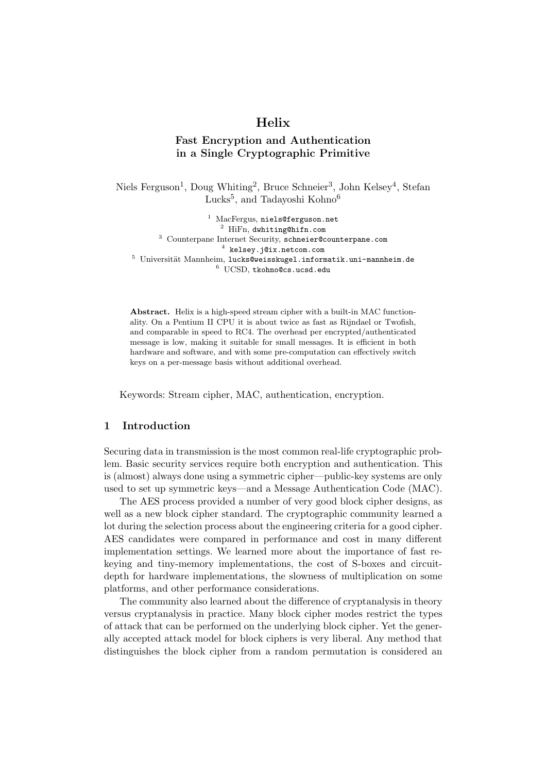# **Helix**

# Fast Encryption and Authentication in a Single Cryptographic Primitive

Niels Ferguson<sup>1</sup>, Doug Whiting<sup>2</sup>, Bruce Schneier<sup>3</sup>, John Kelsey<sup>4</sup>, Stefan Lucks<sup>5</sup>, and Tadayoshi Kohno<sup>6</sup>

<sup>1</sup> MacFergus, niels@ferguson.net  $^{2}$  HiFn, dwhiting@hifn.com <sup>3</sup> Counterpane Internet Security, schneier@counterpane.com  $^4$  kelsey.j@ix.netcom.com  $5$  Universität Mannheim, lucks@weisskugel.informatik.uni-mannheim.de <sup>6</sup> UCSD, tkohno@cs.ucsd.edu

Abstract. Helix is a high-speed stream cipher with a built-in MAC functionality. On a Pentium II CPU it is about twice as fast as Rijndael or Twofish, and comparable in speed to RC4. The overhead per encrypted/authenticated message is low, making it suitable for small messages. It is efficient in both hardware and software, and with some pre-computation can effectively switch keys on a per-message basis without additional overhead.

Keywords: Stream cipher, MAC, authentication, encryption.

# 1 Introduction

Securing data in transmission is the most common real-life cryptographic problem. Basic security services require both encryption and authentication. This is (almost) always done using a symmetric cipher—public-key systems are only used to set up symmetric keys—and a Message Authentication Code (MAC).

The AES process provided a number of very good block cipher designs, as well as a new block cipher standard. The cryptographic community learned a lot during the selection process about the engineering criteria for a good cipher. AES candidates were compared in performance and cost in many different implementation settings. We learned more about the importance of fast rekeying and tiny-memory implementations, the cost of S-boxes and circuitdepth for hardware implementations, the slowness of multiplication on some platforms, and other performance considerations.

The community also learned about the difference of cryptanalysis in theory versus cryptanalysis in practice. Many block cipher modes restrict the types of attack that can be performed on the underlying block cipher. Yet the generally accepted attack model for block ciphers is very liberal. Any method that distinguishes the block cipher from a random permutation is considered an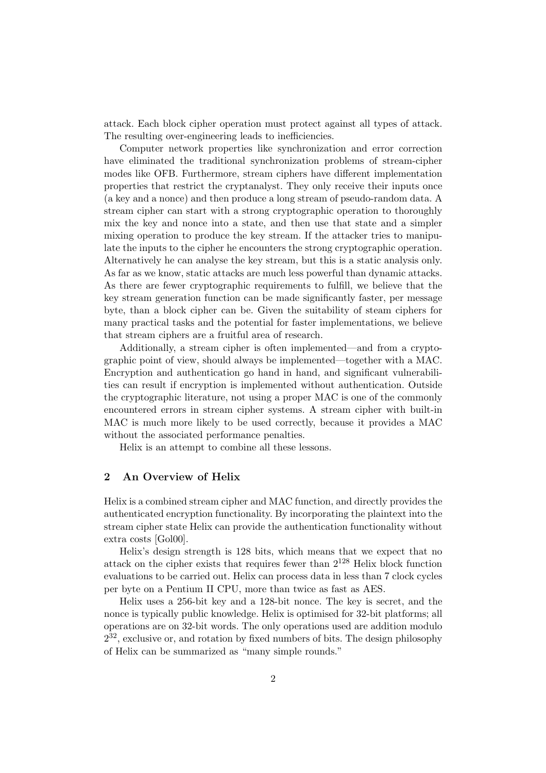attack. Each block cipher operation must protect against all types of attack. The resulting over-engineering leads to inefficiencies.

Computer network properties like synchronization and error correction have eliminated the traditional synchronization problems of stream-cipher modes like OFB. Furthermore, stream ciphers have different implementation properties that restrict the cryptanalyst. They only receive their inputs once (a key and a nonce) and then produce a long stream of pseudo-random data. A stream cipher can start with a strong cryptographic operation to thoroughly mix the key and nonce into a state, and then use that state and a simpler mixing operation to produce the key stream. If the attacker tries to manipulate the inputs to the cipher he encounters the strong cryptographic operation. Alternatively he can analyse the key stream, but this is a static analysis only. As far as we know, static attacks are much less powerful than dynamic attacks. As there are fewer cryptographic requirements to fulfill, we believe that the key stream generation function can be made significantly faster, per message byte, than a block cipher can be. Given the suitability of steam ciphers for many practical tasks and the potential for faster implementations, we believe that stream ciphers are a fruitful area of research.

Additionally, a stream cipher is often implemented—and from a cryptographic point of view, should always be implemented—together with a MAC. Encryption and authentication go hand in hand, and significant vulnerabilities can result if encryption is implemented without authentication. Outside the cryptographic literature, not using a proper MAC is one of the commonly encountered errors in stream cipher systems. A stream cipher with built-in MAC is much more likely to be used correctly, because it provides a MAC without the associated performance penalties.

Helix is an attempt to combine all these lessons.

### 2 An Overview of Helix

Helix is a combined stream cipher and MAC function, and directly provides the authenticated encryption functionality. By incorporating the plaintext into the stream cipher state Helix can provide the authentication functionality without extra costs [Gol00].

Helix's design strength is 128 bits, which means that we expect that no attack on the cipher exists that requires fewer than 2<sup>128</sup> Helix block function evaluations to be carried out. Helix can process data in less than 7 clock cycles per byte on a Pentium II CPU, more than twice as fast as AES.

Helix uses a 256-bit key and a 128-bit nonce. The key is secret, and the nonce is typically public knowledge. Helix is optimised for 32-bit platforms; all operations are on 32-bit words. The only operations used are addition modulo  $2^{32}$ , exclusive or, and rotation by fixed numbers of bits. The design philosophy of Helix can be summarized as "many simple rounds."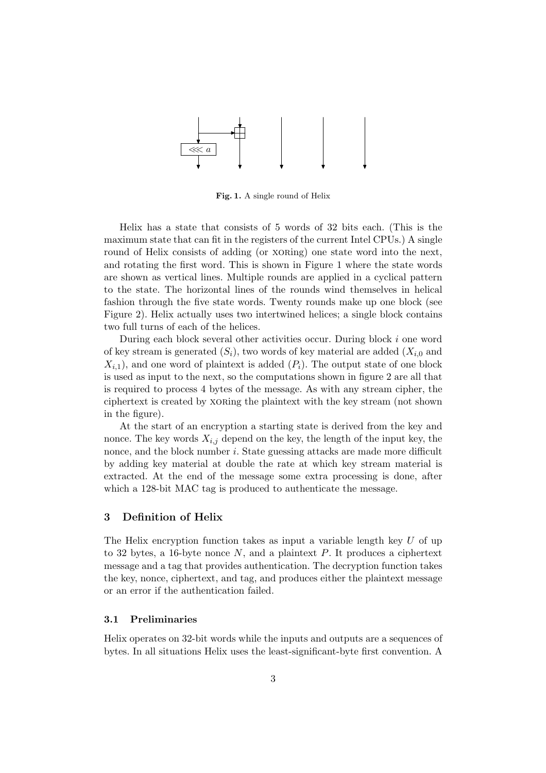

Fig. 1. A single round of Helix

Helix has a state that consists of 5 words of 32 bits each. (This is the maximum state that can fit in the registers of the current Intel CPUs.) A single round of Helix consists of adding (or xoral constant word into the next, and rotating the first word. This is shown in Figure 1 where the state words are shown as vertical lines. Multiple rounds are applied in a cyclical pattern to the state. The horizontal lines of the rounds wind themselves in helical fashion through the five state words. Twenty rounds make up one block (see Figure 2). Helix actually uses two intertwined helices; a single block contains two full turns of each of the helices.

During each block several other activities occur. During block i one word of key stream is generated  $(S_i)$ , two words of key material are added  $(X_{i,0}$  and  $X_{i,1}$ , and one word of plaintext is added  $(P_i)$ . The output state of one block is used as input to the next, so the computations shown in figure 2 are all that is required to process 4 bytes of the message. As with any stream cipher, the ciphertext is created by xoring the plaintext with the key stream (not shown in the figure).

At the start of an encryption a starting state is derived from the key and nonce. The key words  $X_{i,j}$  depend on the key, the length of the input key, the nonce, and the block number *i*. State guessing attacks are made more difficult by adding key material at double the rate at which key stream material is extracted. At the end of the message some extra processing is done, after which a 128-bit MAC tag is produced to authenticate the message.

## 3 Definition of Helix

The Helix encryption function takes as input a variable length key  $U$  of up to 32 bytes, a 16-byte nonce N, and a plaintext  $P$ . It produces a ciphertext message and a tag that provides authentication. The decryption function takes the key, nonce, ciphertext, and tag, and produces either the plaintext message or an error if the authentication failed.

### 3.1 Preliminaries

Helix operates on 32-bit words while the inputs and outputs are a sequences of bytes. In all situations Helix uses the least-significant-byte first convention. A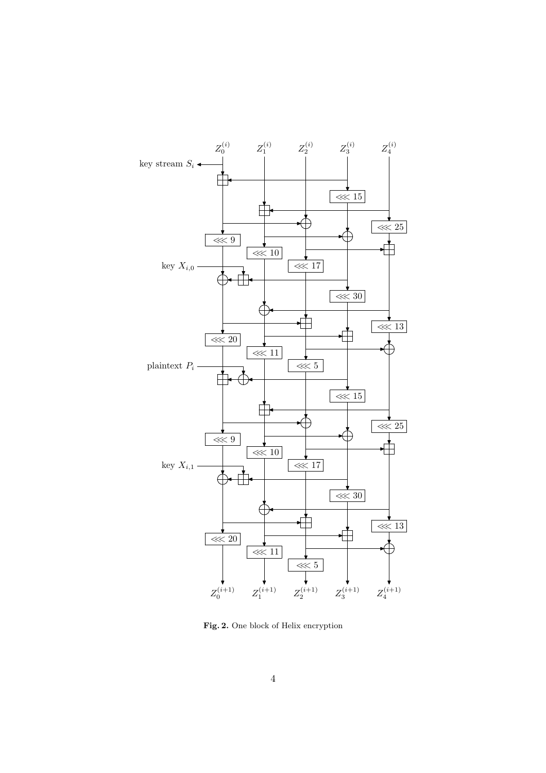

Fig. 2. One block of Helix encryption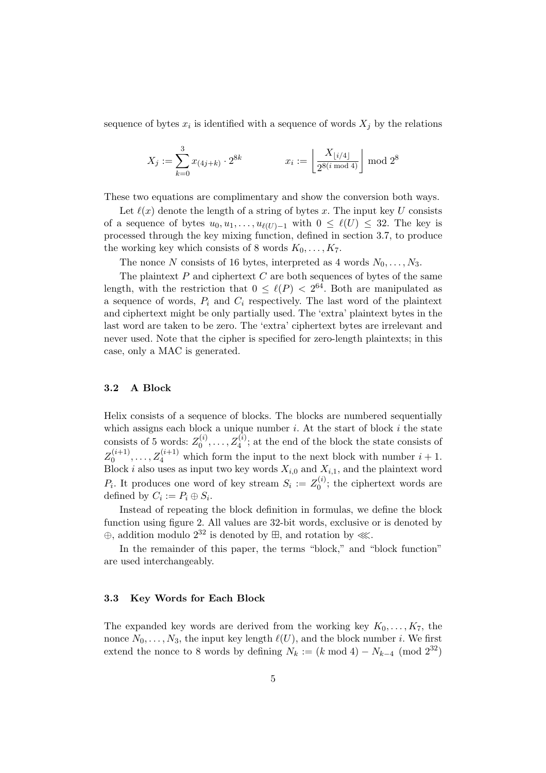sequence of bytes  $x_i$  is identified with a sequence of words  $X_j$  by the relations

$$
X_j := \sum_{k=0}^{3} x_{(4j+k)} \cdot 2^{8k} \qquad x_i := \left\lfloor \frac{X_{\lfloor i/4 \rfloor}}{2^{8(i \bmod 4)}} \right\rfloor \mod 2^8
$$

These two equations are complimentary and show the conversion both ways.

Let  $\ell(x)$  denote the length of a string of bytes x. The input key U consists of a sequence of bytes  $u_0, u_1, \ldots, u_{\ell(U)-1}$  with  $0 \leq \ell(U) \leq 32$ . The key is processed through the key mixing function, defined in section 3.7, to produce the working key which consists of 8 words  $K_0, \ldots, K_7$ .

The nonce N consists of 16 bytes, interpreted as 4 words  $N_0, \ldots, N_3$ .

The plaintext  $P$  and ciphertext  $C$  are both sequences of bytes of the same length, with the restriction that  $0 \leq \ell(P) < 2^{64}$ . Both are manipulated as a sequence of words,  $P_i$  and  $C_i$  respectively. The last word of the plaintext and ciphertext might be only partially used. The 'extra' plaintext bytes in the last word are taken to be zero. The 'extra' ciphertext bytes are irrelevant and never used. Note that the cipher is specified for zero-length plaintexts; in this case, only a MAC is generated.

### 3.2 A Block

Helix consists of a sequence of blocks. The blocks are numbered sequentially which assigns each block a unique number  $i$ . At the start of block  $i$  the state consists of 5 words:  $Z_0^{(i)}$  $\mathcal{Z}_0^{(i)}, \ldots, \mathcal{Z}_4^{(i)}$ ; at the end of the block the state consists of  $Z_0^{(i+1)}$  $\mathcal{O}_0^{(i+1)}, \ldots, \mathcal{Z}_4^{(i+1)}$  which form the input to the next block with number  $i+1$ . Block i also uses as input two key words  $X_{i,0}$  and  $X_{i,1}$ , and the plaintext word  $P_i$ . It produces one word of key stream  $S_i := Z_0^{(i)}$  $\binom{1}{0}$ ; the ciphertext words are defined by  $C_i := P_i \oplus S_i$ .

Instead of repeating the block definition in formulas, we define the block function using figure 2. All values are 32-bit words, exclusive or is denoted by  $\oplus$ , addition modulo  $2^{32}$  is denoted by  $\boxplus$ , and rotation by  $\lll$ .

In the remainder of this paper, the terms "block," and "block function" are used interchangeably.

### 3.3 Key Words for Each Block

The expanded key words are derived from the working key  $K_0, \ldots, K_7$ , the nonce  $N_0, \ldots, N_3$ , the input key length  $\ell(U)$ , and the block number i. We first extend the nonce to 8 words by defining  $N_k := (k \mod 4) - N_{k-4} \pmod{2^{32}}$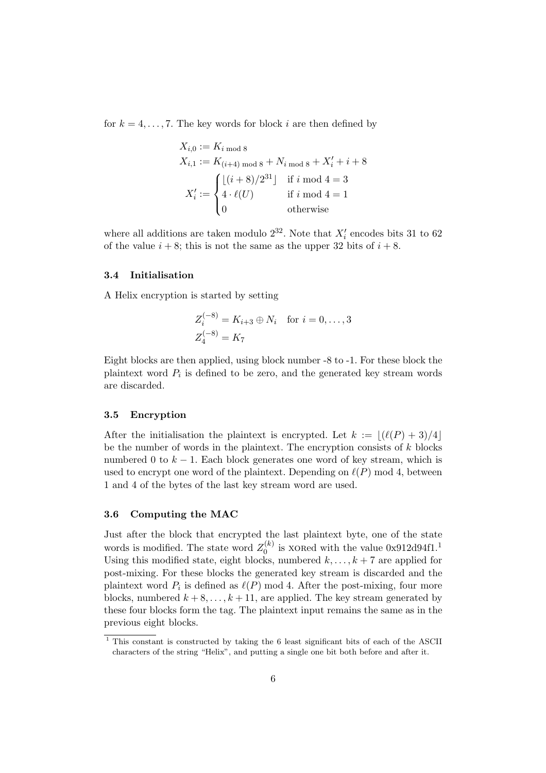for  $k = 4, \ldots, 7$ . The key words for block i are then defined by

$$
X_{i,0} := K_{i \mod 8}
$$
  
\n
$$
X_{i,1} := K_{(i+4) \mod 8} + N_{i \mod 8} + X'_{i} + i + 8
$$
  
\n
$$
X'_{i} := \begin{cases} \lfloor (i+8)/2^{31} \rfloor & \text{if } i \mod 4 = 3\\ 4 \cdot \ell(U) & \text{if } i \mod 4 = 1\\ 0 & \text{otherwise} \end{cases}
$$

where all additions are taken modulo  $2^{32}$ . Note that  $X'_{i}$  encodes bits 31 to 62 of the value  $i + 8$ ; this is not the same as the upper 32 bits of  $i + 8$ .

### 3.4 Initialisation

A Helix encryption is started by setting

$$
Z_i^{(-8)} = K_{i+3} \oplus N_i \text{ for } i = 0, ..., 3
$$
  

$$
Z_4^{(-8)} = K_7
$$

Eight blocks are then applied, using block number -8 to -1. For these block the plaintext word  $P_i$  is defined to be zero, and the generated key stream words are discarded.

#### 3.5 Encryption

After the initialisation the plaintext is encrypted. Let  $k := |(\ell(P) + 3)/4|$ be the number of words in the plaintext. The encryption consists of  $k$  blocks numbered 0 to  $k - 1$ . Each block generates one word of key stream, which is used to encrypt one word of the plaintext. Depending on  $\ell(P)$  mod 4, between 1 and 4 of the bytes of the last key stream word are used.

#### 3.6 Computing the MAC

Just after the block that encrypted the last plaintext byte, one of the state words is modified. The state word  $Z_0^{(k)}$  $\binom{k}{0}$  is xored with the value 0x912d94f1.<sup>1</sup> Using this modified state, eight blocks, numbered  $k, \ldots, k+7$  are applied for post-mixing. For these blocks the generated key stream is discarded and the plaintext word  $P_i$  is defined as  $\ell(P)$  mod 4. After the post-mixing, four more blocks, numbered  $k + 8, \ldots, k + 11$ , are applied. The key stream generated by these four blocks form the tag. The plaintext input remains the same as in the previous eight blocks.

 $1$ <sup>1</sup> This constant is constructed by taking the 6 least significant bits of each of the ASCII characters of the string "Helix", and putting a single one bit both before and after it.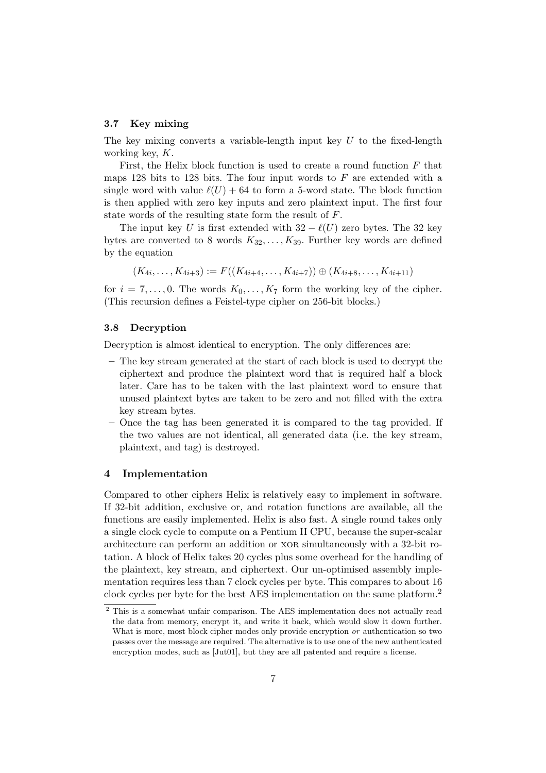#### 3.7 Key mixing

The key mixing converts a variable-length input key  $U$  to the fixed-length working key, K.

First, the Helix block function is used to create a round function  $F$  that maps 128 bits to 128 bits. The four input words to  $F$  are extended with a single word with value  $\ell(U) + 64$  to form a 5-word state. The block function is then applied with zero key inputs and zero plaintext input. The first four state words of the resulting state form the result of F.

The input key U is first extended with  $32 - \ell(U)$  zero bytes. The 32 key bytes are converted to 8 words  $K_{32}, \ldots, K_{39}$ . Further key words are defined by the equation

$$
(K_{4i},\ldots,K_{4i+3}):=F((K_{4i+4},\ldots,K_{4i+7}))\oplus (K_{4i+8},\ldots,K_{4i+11})
$$

for  $i = 7, \ldots, 0$ . The words  $K_0, \ldots, K_7$  form the working key of the cipher. (This recursion defines a Feistel-type cipher on 256-bit blocks.)

### 3.8 Decryption

Decryption is almost identical to encryption. The only differences are:

- The key stream generated at the start of each block is used to decrypt the ciphertext and produce the plaintext word that is required half a block later. Care has to be taken with the last plaintext word to ensure that unused plaintext bytes are taken to be zero and not filled with the extra key stream bytes.
- Once the tag has been generated it is compared to the tag provided. If the two values are not identical, all generated data (i.e. the key stream, plaintext, and tag) is destroyed.

#### 4 Implementation

Compared to other ciphers Helix is relatively easy to implement in software. If 32-bit addition, exclusive or, and rotation functions are available, all the functions are easily implemented. Helix is also fast. A single round takes only a single clock cycle to compute on a Pentium II CPU, because the super-scalar architecture can perform an addition or xor simultaneously with a 32-bit rotation. A block of Helix takes 20 cycles plus some overhead for the handling of the plaintext, key stream, and ciphertext. Our un-optimised assembly implementation requires less than 7 clock cycles per byte. This compares to about 16 clock cycles per byte for the best AES implementation on the same platform.<sup>2</sup>

<sup>&</sup>lt;sup>2</sup> This is a somewhat unfair comparison. The AES implementation does not actually read the data from memory, encrypt it, and write it back, which would slow it down further. What is more, most block cipher modes only provide encryption  $\sigma r$  authentication so two passes over the message are required. The alternative is to use one of the new authenticated encryption modes, such as [Jut01], but they are all patented and require a license.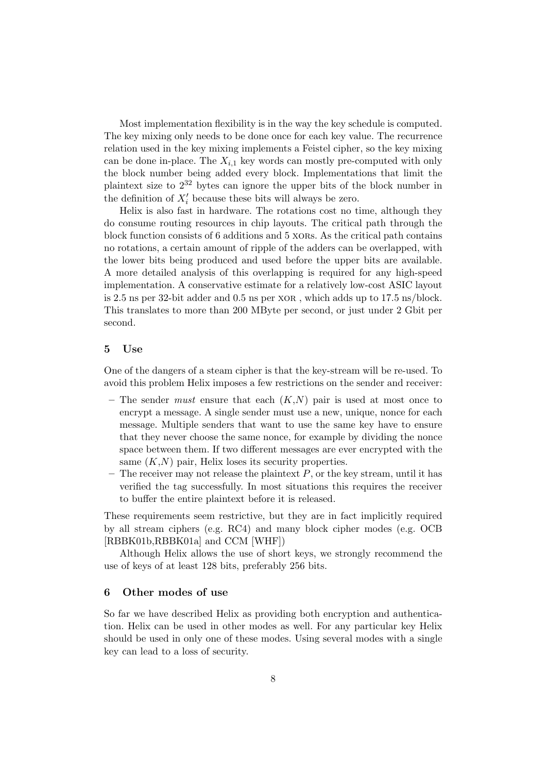Most implementation flexibility is in the way the key schedule is computed. The key mixing only needs to be done once for each key value. The recurrence relation used in the key mixing implements a Feistel cipher, so the key mixing can be done in-place. The  $X_{i,1}$  key words can mostly pre-computed with only the block number being added every block. Implementations that limit the plaintext size to  $2^{32}$  bytes can ignore the upper bits of the block number in the definition of  $X_i'$  because these bits will always be zero.

Helix is also fast in hardware. The rotations cost no time, although they do consume routing resources in chip layouts. The critical path through the block function consists of 6 additions and 5 xors. As the critical path contains no rotations, a certain amount of ripple of the adders can be overlapped, with the lower bits being produced and used before the upper bits are available. A more detailed analysis of this overlapping is required for any high-speed implementation. A conservative estimate for a relatively low-cost ASIC layout is 2.5 ns per 32-bit adder and  $0.5$  ns per XOR, which adds up to 17.5 ns/block. This translates to more than 200 MByte per second, or just under 2 Gbit per second.

### 5 Use

One of the dangers of a steam cipher is that the key-stream will be re-used. To avoid this problem Helix imposes a few restrictions on the sender and receiver:

- The sender must ensure that each  $(K, N)$  pair is used at most once to encrypt a message. A single sender must use a new, unique, nonce for each message. Multiple senders that want to use the same key have to ensure that they never choose the same nonce, for example by dividing the nonce space between them. If two different messages are ever encrypted with the same  $(K, N)$  pair, Helix loses its security properties.
- The receiver may not release the plaintext  $P$ , or the key stream, until it has verified the tag successfully. In most situations this requires the receiver to buffer the entire plaintext before it is released.

These requirements seem restrictive, but they are in fact implicitly required by all stream ciphers (e.g. RC4) and many block cipher modes (e.g. OCB [RBBK01b,RBBK01a] and CCM [WHF])

Although Helix allows the use of short keys, we strongly recommend the use of keys of at least 128 bits, preferably 256 bits.

### 6 Other modes of use

So far we have described Helix as providing both encryption and authentication. Helix can be used in other modes as well. For any particular key Helix should be used in only one of these modes. Using several modes with a single key can lead to a loss of security.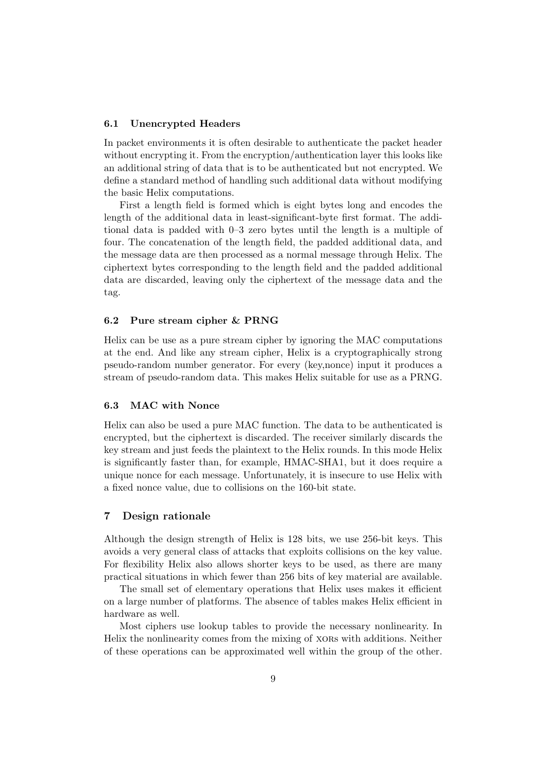### 6.1 Unencrypted Headers

In packet environments it is often desirable to authenticate the packet header without encrypting it. From the encryption/authentication layer this looks like an additional string of data that is to be authenticated but not encrypted. We define a standard method of handling such additional data without modifying the basic Helix computations.

First a length field is formed which is eight bytes long and encodes the length of the additional data in least-significant-byte first format. The additional data is padded with 0–3 zero bytes until the length is a multiple of four. The concatenation of the length field, the padded additional data, and the message data are then processed as a normal message through Helix. The ciphertext bytes corresponding to the length field and the padded additional data are discarded, leaving only the ciphertext of the message data and the tag.

#### 6.2 Pure stream cipher & PRNG

Helix can be use as a pure stream cipher by ignoring the MAC computations at the end. And like any stream cipher, Helix is a cryptographically strong pseudo-random number generator. For every (key,nonce) input it produces a stream of pseudo-random data. This makes Helix suitable for use as a PRNG.

#### 6.3 MAC with Nonce

Helix can also be used a pure MAC function. The data to be authenticated is encrypted, but the ciphertext is discarded. The receiver similarly discards the key stream and just feeds the plaintext to the Helix rounds. In this mode Helix is significantly faster than, for example, HMAC-SHA1, but it does require a unique nonce for each message. Unfortunately, it is insecure to use Helix with a fixed nonce value, due to collisions on the 160-bit state.

### 7 Design rationale

Although the design strength of Helix is 128 bits, we use 256-bit keys. This avoids a very general class of attacks that exploits collisions on the key value. For flexibility Helix also allows shorter keys to be used, as there are many practical situations in which fewer than 256 bits of key material are available.

The small set of elementary operations that Helix uses makes it efficient on a large number of platforms. The absence of tables makes Helix efficient in hardware as well.

Most ciphers use lookup tables to provide the necessary nonlinearity. In Helix the nonlinearity comes from the mixing of xors with additions. Neither of these operations can be approximated well within the group of the other.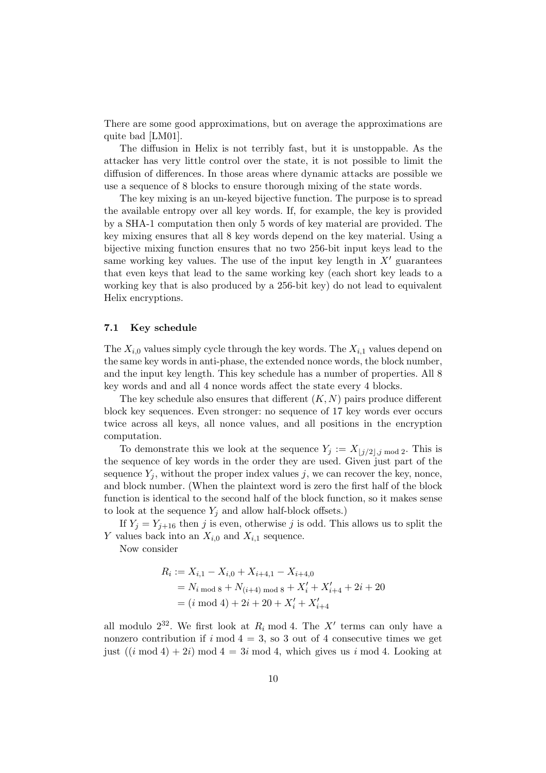There are some good approximations, but on average the approximations are quite bad [LM01].

The diffusion in Helix is not terribly fast, but it is unstoppable. As the attacker has very little control over the state, it is not possible to limit the diffusion of differences. In those areas where dynamic attacks are possible we use a sequence of 8 blocks to ensure thorough mixing of the state words.

The key mixing is an un-keyed bijective function. The purpose is to spread the available entropy over all key words. If, for example, the key is provided by a SHA-1 computation then only 5 words of key material are provided. The key mixing ensures that all 8 key words depend on the key material. Using a bijective mixing function ensures that no two 256-bit input keys lead to the same working key values. The use of the input key length in  $X'$  guarantees that even keys that lead to the same working key (each short key leads to a working key that is also produced by a 256-bit key) do not lead to equivalent Helix encryptions.

### 7.1 Key schedule

The  $X_{i,0}$  values simply cycle through the key words. The  $X_{i,1}$  values depend on the same key words in anti-phase, the extended nonce words, the block number, and the input key length. This key schedule has a number of properties. All 8 key words and and all 4 nonce words affect the state every 4 blocks.

The key schedule also ensures that different  $(K, N)$  pairs produce different block key sequences. Even stronger: no sequence of 17 key words ever occurs twice across all keys, all nonce values, and all positions in the encryption computation.

To demonstrate this we look at the sequence  $Y_j := X_{\lfloor j/2 \rfloor, j \mod 2}$ . This is the sequence of key words in the order they are used. Given just part of the sequence  $Y_j$ , without the proper index values j, we can recover the key, nonce, and block number. (When the plaintext word is zero the first half of the block function is identical to the second half of the block function, so it makes sense to look at the sequence  $Y_i$  and allow half-block offsets.)

If  $Y_j = Y_{j+16}$  then j is even, otherwise j is odd. This allows us to split the Y values back into an  $X_{i,0}$  and  $X_{i,1}$  sequence.

Now consider

$$
R_i := X_{i,1} - X_{i,0} + X_{i+4,1} - X_{i+4,0}
$$
  
=  $N_{i \mod 8} + N_{(i+4) \mod 8} + X'_i + X'_{i+4} + 2i + 20$   
=  $(i \mod 4) + 2i + 20 + X'_i + X'_{i+4}$ 

all modulo  $2^{32}$ . We first look at  $R_i$  mod 4. The X' terms can only have a nonzero contribution if  $i \mod 4 = 3$ , so 3 out of 4 consecutive times we get just  $((i \mod 4) + 2i) \mod 4 = 3i \mod 4$ , which gives us i mod 4. Looking at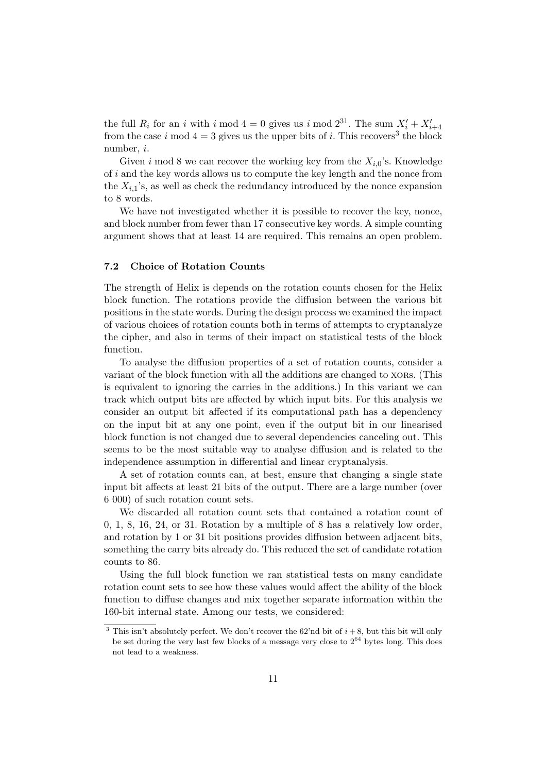the full  $R_i$  for an i with i mod  $4 = 0$  gives us i mod  $2^{31}$ . The sum  $X'_i + X'_{i+4}$ from the case i mod  $4 = 3$  gives us the upper bits of i. This recovers<sup>3</sup> the block number, i.

Given i mod 8 we can recover the working key from the  $X_{i,0}$ 's. Knowledge of  $i$  and the key words allows us to compute the key length and the nonce from the  $X_{i,1}$ 's, as well as check the redundancy introduced by the nonce expansion to 8 words.

We have not investigated whether it is possible to recover the key, nonce, and block number from fewer than 17 consecutive key words. A simple counting argument shows that at least 14 are required. This remains an open problem.

### 7.2 Choice of Rotation Counts

The strength of Helix is depends on the rotation counts chosen for the Helix block function. The rotations provide the diffusion between the various bit positions in the state words. During the design process we examined the impact of various choices of rotation counts both in terms of attempts to cryptanalyze the cipher, and also in terms of their impact on statistical tests of the block function.

To analyse the diffusion properties of a set of rotation counts, consider a variant of the block function with all the additions are changed to xors. (This is equivalent to ignoring the carries in the additions.) In this variant we can track which output bits are affected by which input bits. For this analysis we consider an output bit affected if its computational path has a dependency on the input bit at any one point, even if the output bit in our linearised block function is not changed due to several dependencies canceling out. This seems to be the most suitable way to analyse diffusion and is related to the independence assumption in differential and linear cryptanalysis.

A set of rotation counts can, at best, ensure that changing a single state input bit affects at least 21 bits of the output. There are a large number (over 6 000) of such rotation count sets.

We discarded all rotation count sets that contained a rotation count of 0, 1, 8, 16, 24, or 31. Rotation by a multiple of 8 has a relatively low order, and rotation by 1 or 31 bit positions provides diffusion between adjacent bits, something the carry bits already do. This reduced the set of candidate rotation counts to 86.

Using the full block function we ran statistical tests on many candidate rotation count sets to see how these values would affect the ability of the block function to diffuse changes and mix together separate information within the 160-bit internal state. Among our tests, we considered:

<sup>&</sup>lt;sup>3</sup> This isn't absolutely perfect. We don't recover the 62'nd bit of  $i + 8$ , but this bit will only be set during the very last few blocks of a message very close to  $2^{64}$  bytes long. This does not lead to a weakness.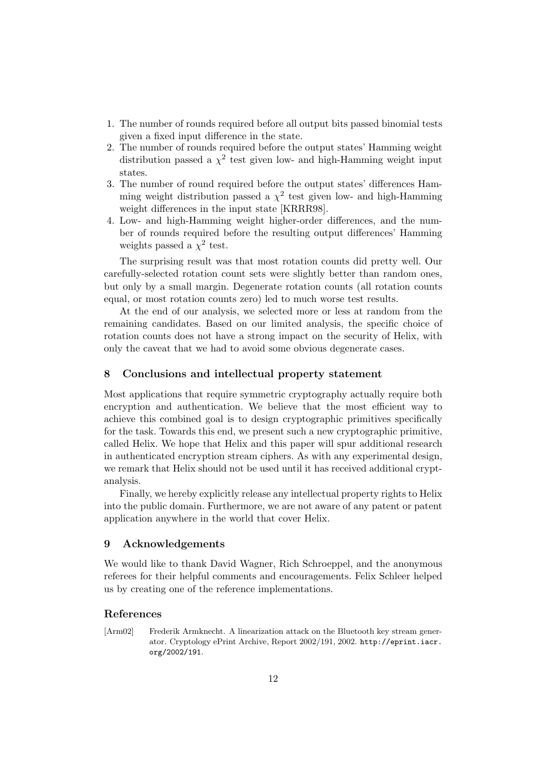- 1. The number of rounds required before all output bits passed binomial tests given a fixed input difference in the state.
- 2. The number of rounds required before the output states' Hamming weight distribution passed a  $\chi^2$  test given low- and high-Hamming weight input states.
- 3. The number of round required before the output states' differences Hamming weight distribution passed a  $\chi^2$  test given low- and high-Hamming weight differences in the input state [KRRR98].
- 4. Low- and high-Hamming weight higher-order differences, and the number of rounds required before the resulting output differences' Hamming weights passed a  $\chi^2$  test.

The surprising result was that most rotation counts did pretty well. Our carefully-selected rotation count sets were slightly better than random ones, but only by a small margin. Degenerate rotation counts (all rotation counts equal, or most rotation counts zero) led to much worse test results.

At the end of our analysis, we selected more or less at random from the remaining candidates. Based on our limited analysis, the specific choice of rotation counts does not have a strong impact on the security of Helix, with only the caveat that we had to avoid some obvious degenerate cases.

### 8 Conclusions and intellectual property statement

Most applications that require symmetric cryptography actually require both encryption and authentication. We believe that the most efficient way to achieve this combined goal is to design cryptographic primitives specifically for the task. Towards this end, we present such a new cryptographic primitive, called Helix. We hope that Helix and this paper will spur additional research in authenticated encryption stream ciphers. As with any experimental design, we remark that Helix should not be used until it has received additional cryptanalysis.

Finally, we hereby explicitly release any intellectual property rights to Helix into the public domain. Furthermore, we are not aware of any patent or patent application anywhere in the world that cover Helix.

### 9 Acknowledgements

We would like to thank David Wagner, Rich Schroeppel, and the anonymous referees for their helpful comments and encouragements. Felix Schleer helped us by creating one of the reference implementations.

#### References

[Arm02] Frederik Armknecht. A linearization attack on the Bluetooth key stream generator. Cryptology ePrint Archive, Report 2002/191, 2002. http://eprint.iacr. org/2002/191.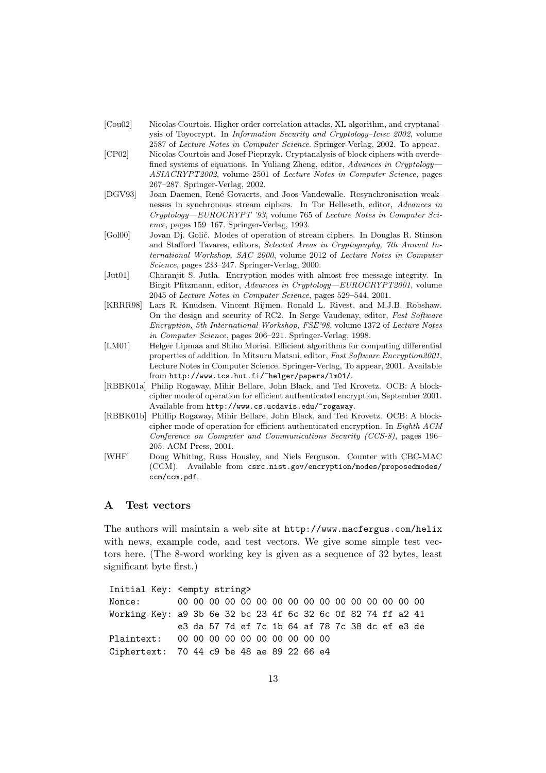| $\lfloor \text{Cou02} \rfloor$ | Nicolas Courtois. Higher order correlation attacks, XL algorithm, and cryptanal-     |
|--------------------------------|--------------------------------------------------------------------------------------|
|                                | ysis of Toyocrypt. In <i>Information Security and Cryptology–Icisc 2002</i> , volume |
|                                | 2587 of Lecture Notes in Computer Science. Springer-Verlag, 2002. To appear.         |

- [CP02] Nicolas Courtois and Josef Pieprzyk. Cryptanalysis of block ciphers with overdefined systems of equations. In Yuliang Zheng, editor, Advances in Cryptology-ASIACRYPT2002, volume 2501 of Lecture Notes in Computer Science, pages 267–287. Springer-Verlag, 2002.
- [DGV93] Joan Daemen, Ren´e Govaerts, and Joos Vandewalle. Resynchronisation weaknesses in synchronous stream ciphers. In Tor Helleseth, editor, Advances in Cryptology—EUROCRYPT '93, volume 765 of Lecture Notes in Computer Science, pages 159–167. Springer-Verlag, 1993.
- [Gol00] Jovan Dj. Golić. Modes of operation of stream ciphers. In Douglas R. Stinson and Stafford Tavares, editors, Selected Areas in Cryptography, 7th Annual International Workshop, SAC 2000, volume 2012 of Lecture Notes in Computer Science, pages 233–247. Springer-Verlag, 2000.
- [Jut01] Charanjit S. Jutla. Encryption modes with almost free message integrity. In Birgit Pfitzmann, editor, Advances in Cryptology—EUROCRYPT2001, volume 2045 of Lecture Notes in Computer Science, pages 529–544, 2001.
- [KRRR98] Lars R. Knudsen, Vincent Rijmen, Ronald L. Rivest, and M.J.B. Robshaw. On the design and security of RC2. In Serge Vaudenay, editor, Fast Software Encryption, 5th International Workshop, FSE'98, volume 1372 of Lecture Notes in Computer Science, pages 206–221. Springer-Verlag, 1998.
- [LM01] Helger Lipmaa and Shiho Moriai. Efficient algorithms for computing differential properties of addition. In Mitsuru Matsui, editor, Fast Software Encryption2001, Lecture Notes in Computer Science. Springer-Verlag, To appear, 2001. Available from http://www.tcs.hut.fi/~helger/papers/lm01/.
- [RBBK01a] Philip Rogaway, Mihir Bellare, John Black, and Ted Krovetz. OCB: A blockcipher mode of operation for efficient authenticated encryption, September 2001. Available from http://www.cs.ucdavis.edu/~rogaway.
- [RBBK01b] Phillip Rogaway, Mihir Bellare, John Black, and Ted Krovetz. OCB: A blockcipher mode of operation for efficient authenticated encryption. In Eighth ACM Conference on Computer and Communications Security (CCS-8), pages 196– 205. ACM Press, 2001.
- [WHF] Doug Whiting, Russ Housley, and Niels Ferguson. Counter with CBC-MAC (CCM). Available from csrc.nist.gov/encryption/modes/proposedmodes/ ccm/ccm.pdf.

### A Test vectors

The authors will maintain a web site at http://www.macfergus.com/helix with news, example code, and test vectors. We give some simple test vectors here. (The 8-word working key is given as a sequence of 32 bytes, least significant byte first.)

Initial Key: <empty string> Nonce: 00 00 00 00 00 00 00 00 00 00 00 00 00 00 00 00 Working Key: a9 3b 6e 32 bc 23 4f 6c 32 6c 0f 82 74 ff a2 41 e3 da 57 7d ef 7c 1b 64 af 78 7c 38 dc ef e3 de Plaintext: 00 00 00 00 00 00 00 00 00 00 Ciphertext: 70 44 c9 be 48 ae 89 22 66 e4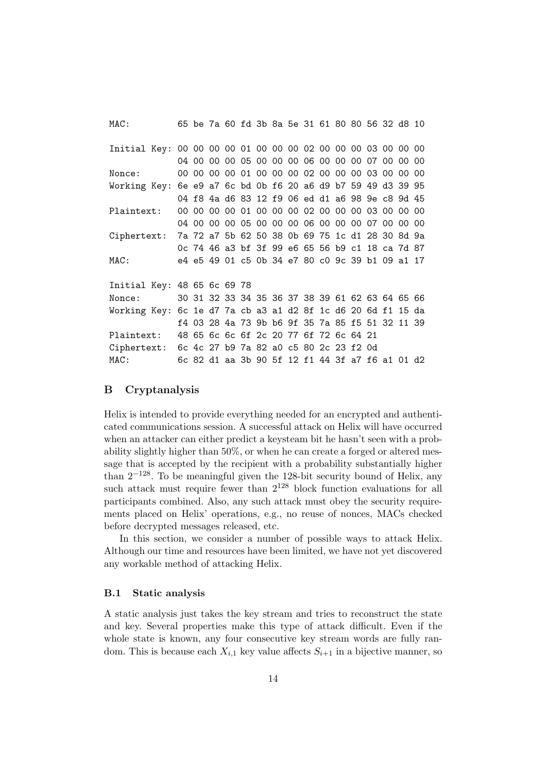MAC: 65 be 7a 60 fd 3b 8a 5e 31 61 80 80 56 32 d8 10 Initial Key: 00 00 00 00 01 00 00 00 02 00 00 00 03 00 00 00 04 00 00 00 05 00 00 00 06 00 00 00 07 00 00 00 Nonce: 00 00 00 00 01 00 00 00 02 00 00 00 03 00 00 00 Working Key: 6e e9 a7 6c bd 0b f6 20 a6 d9 b7 59 49 d3 39 95 04 f8 4a d6 83 12 f9 06 ed d1 a6 98 9e c8 9d 45 Plaintext: 00 00 00 00 01 00 00 00 02 00 00 00 03 00 00 00 04 00 00 00 05 00 00 00 06 00 00 00 07 00 00 00 Ciphertext: 7a 72 a7 5b 62 50 38 0b 69 75 1c d1 28 30 8d 9a 0c 74 46 a3 bf 3f 99 e6 65 56 b9 c1 18 ca 7d 87 MAC: e4 e5 49 01 c5 0b 34 e7 80 c0 9c 39 b1 09 a1 17 Initial Key: 48 65 6c 69 78 Nonce: 30 31 32 33 34 35 36 37 38 39 61 62 63 64 65 66 Working Key: 6c 1e d7 7a cb a3 a1 d2 8f 1c d6 20 6d f1 15 da f4 03 28 4a 73 9b b6 9f 35 7a 85 f5 51 32 11 39 Plaintext: 48 65 6c 6c 6f 2c 20 77 6f 72 6c 64 21 Ciphertext: 6c 4c 27 b9 7a 82 a0 c5 80 2c 23 f2 0d MAC: 6c 82 d1 aa 3b 90 5f 12 f1 44 3f a7 f6 a1 01 d2

### B Cryptanalysis

Helix is intended to provide everything needed for an encrypted and authenticated communications session. A successful attack on Helix will have occurred when an attacker can either predict a keysteam bit he hasn't seen with a probability slightly higher than 50%, or when he can create a forged or altered message that is accepted by the recipient with a probability substantially higher than  $2^{-128}$ . To be meaningful given the 128-bit security bound of Helix, any such attack must require fewer than  $2^{128}$  block function evaluations for all participants combined. Also, any such attack must obey the security requirements placed on Helix' operations, e.g., no reuse of nonces, MACs checked before decrypted messages released, etc.

In this section, we consider a number of possible ways to attack Helix. Although our time and resources have been limited, we have not yet discovered any workable method of attacking Helix.

### B.1 Static analysis

A static analysis just takes the key stream and tries to reconstruct the state and key. Several properties make this type of attack difficult. Even if the whole state is known, any four consecutive key stream words are fully random. This is because each  $X_{i,1}$  key value affects  $S_{i+1}$  in a bijective manner, so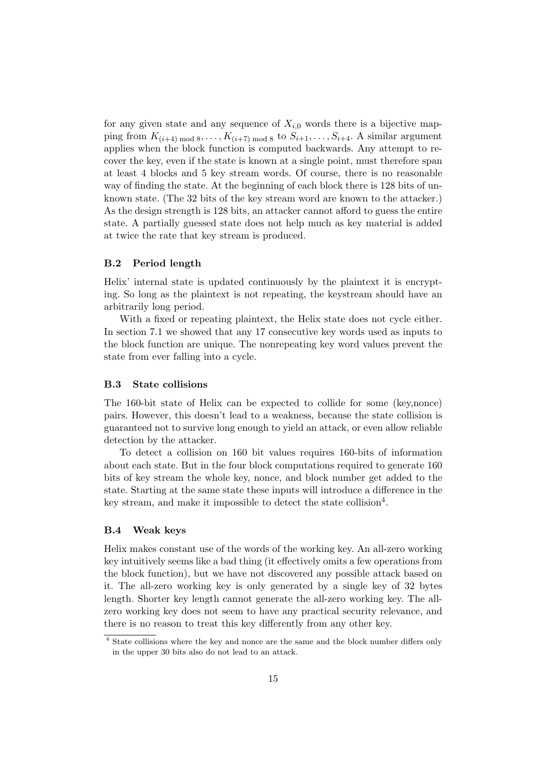for any given state and any sequence of  $X_{i,0}$  words there is a bijective mapping from  $K_{(i+4) \text{ mod } 8}, \ldots, K_{(i+7) \text{ mod } 8}$  to  $S_{i+1}, \ldots, S_{i+4}$ . A similar argument applies when the block function is computed backwards. Any attempt to recover the key, even if the state is known at a single point, must therefore span at least 4 blocks and 5 key stream words. Of course, there is no reasonable way of finding the state. At the beginning of each block there is 128 bits of unknown state. (The 32 bits of the key stream word are known to the attacker.) As the design strength is 128 bits, an attacker cannot afford to guess the entire state. A partially guessed state does not help much as key material is added at twice the rate that key stream is produced.

### B.2 Period length

Helix' internal state is updated continuously by the plaintext it is encrypting. So long as the plaintext is not repeating, the keystream should have an arbitrarily long period.

With a fixed or repeating plaintext, the Helix state does not cycle either. In section 7.1 we showed that any 17 consecutive key words used as inputs to the block function are unique. The nonrepeating key word values prevent the state from ever falling into a cycle.

### B.3 State collisions

The 160-bit state of Helix can be expected to collide for some (key,nonce) pairs. However, this doesn't lead to a weakness, because the state collision is guaranteed not to survive long enough to yield an attack, or even allow reliable detection by the attacker.

To detect a collision on 160 bit values requires 160-bits of information about each state. But in the four block computations required to generate 160 bits of key stream the whole key, nonce, and block number get added to the state. Starting at the same state these inputs will introduce a difference in the key stream, and make it impossible to detect the state collision<sup>4</sup>.

#### B.4 Weak keys

Helix makes constant use of the words of the working key. An all-zero working key intuitively seems like a bad thing (it effectively omits a few operations from the block function), but we have not discovered any possible attack based on it. The all-zero working key is only generated by a single key of 32 bytes length. Shorter key length cannot generate the all-zero working key. The allzero working key does not seem to have any practical security relevance, and there is no reason to treat this key differently from any other key.

<sup>&</sup>lt;sup>4</sup> State collisions where the key and nonce are the same and the block number differs only in the upper 30 bits also do not lead to an attack.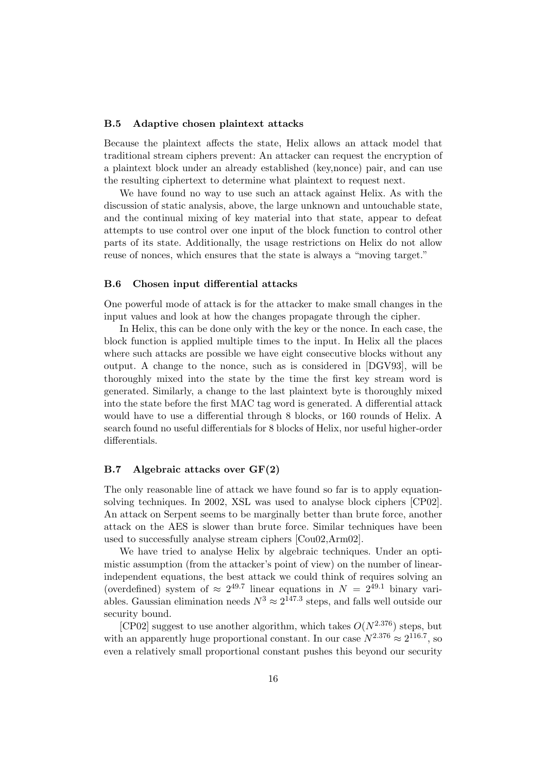#### B.5 Adaptive chosen plaintext attacks

Because the plaintext affects the state, Helix allows an attack model that traditional stream ciphers prevent: An attacker can request the encryption of a plaintext block under an already established (key,nonce) pair, and can use the resulting ciphertext to determine what plaintext to request next.

We have found no way to use such an attack against Helix. As with the discussion of static analysis, above, the large unknown and untouchable state, and the continual mixing of key material into that state, appear to defeat attempts to use control over one input of the block function to control other parts of its state. Additionally, the usage restrictions on Helix do not allow reuse of nonces, which ensures that the state is always a "moving target."

#### B.6 Chosen input differential attacks

One powerful mode of attack is for the attacker to make small changes in the input values and look at how the changes propagate through the cipher.

In Helix, this can be done only with the key or the nonce. In each case, the block function is applied multiple times to the input. In Helix all the places where such attacks are possible we have eight consecutive blocks without any output. A change to the nonce, such as is considered in [DGV93], will be thoroughly mixed into the state by the time the first key stream word is generated. Similarly, a change to the last plaintext byte is thoroughly mixed into the state before the first MAC tag word is generated. A differential attack would have to use a differential through 8 blocks, or 160 rounds of Helix. A search found no useful differentials for 8 blocks of Helix, nor useful higher-order differentials.

### B.7 Algebraic attacks over GF(2)

The only reasonable line of attack we have found so far is to apply equationsolving techniques. In 2002, XSL was used to analyse block ciphers [CP02]. An attack on Serpent seems to be marginally better than brute force, another attack on the AES is slower than brute force. Similar techniques have been used to successfully analyse stream ciphers [Cou02,Arm02].

We have tried to analyse Helix by algebraic techniques. Under an optimistic assumption (from the attacker's point of view) on the number of linearindependent equations, the best attack we could think of requires solving an (overdefined) system of  $\approx 2^{49.7}$  linear equations in  $N = 2^{49.1}$  binary variables. Gaussian elimination needs  $N^3 \approx 2^{147.3}$  steps, and falls well outside our security bound.

[CP02] suggest to use another algorithm, which takes  $O(N^{2.376})$  steps, but with an apparently huge proportional constant. In our case  $N^{2.376} \approx 2^{116.7}$ , so even a relatively small proportional constant pushes this beyond our security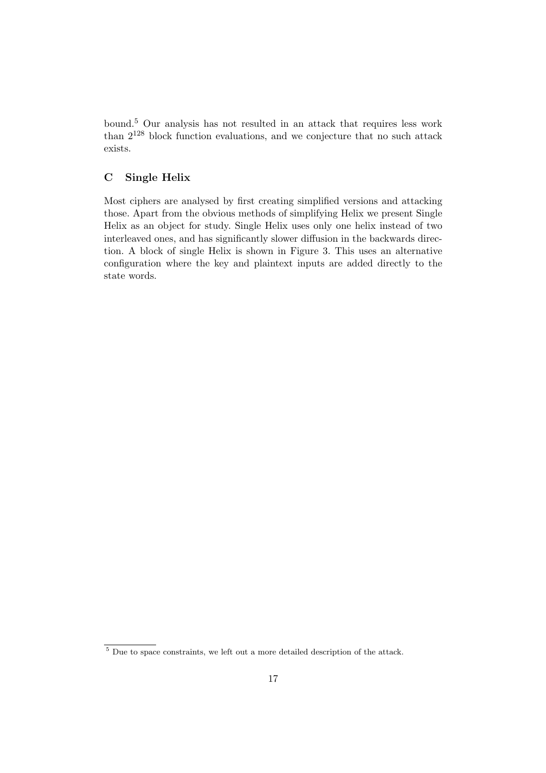bound.<sup>5</sup> Our analysis has not resulted in an attack that requires less work than  $2^{128}$  block function evaluations, and we conjecture that no such attack exists.

# C Single Helix

Most ciphers are analysed by first creating simplified versions and attacking those. Apart from the obvious methods of simplifying Helix we present Single Helix as an object for study. Single Helix uses only one helix instead of two interleaved ones, and has significantly slower diffusion in the backwards direction. A block of single Helix is shown in Figure 3. This uses an alternative configuration where the key and plaintext inputs are added directly to the state words.

 $\frac{5}{6}$  Due to space constraints, we left out a more detailed description of the attack.